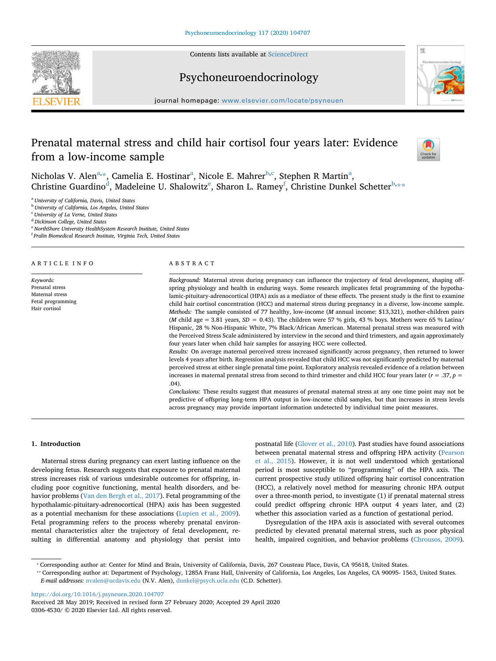Contents lists available at [ScienceDirect](http://www.sciencedirect.com/science/journal/03064530)





## Psychoneuroendocrinology

journal homepage: [www.elsevier.com/locate/psyneuen](https://www.elsevier.com/locate/psyneuen)

# Prenatal maternal stress and child hair cortisol four years later: Evidence from a low-income sample



Nichol[a](#page-0-0)s V. Alen<sup>a,</sup>[\\*,](#page-0-1) Camelia E. Hostinar<sup>a</sup>, Nicole E. Mahrer<sup>[b](#page-0-2),[c](#page-0-3)</sup>, Stephen R Martin<sup>a</sup>, Christine Guar[d](#page-0-4)ino $\rm^d$ , Mad[e](#page-0-5)leine U. Shalowitz $\rm^e$ , Sharon L. Ramey $\rm^f$ , Christine Dunkel Schetter $\rm^b$ , $\rm^{\star}$ 

<span id="page-0-0"></span><sup>a</sup> *University of California, Davis, United States*

<span id="page-0-2"></span><sup>b</sup> *University of California, Los Angeles, United States*

<span id="page-0-3"></span><sup>c</sup> *University of La Verne, United States*

<span id="page-0-4"></span><sup>d</sup> *Dickinson College, United States*

<span id="page-0-5"></span><sup>e</sup> *NorthShore University HealthSystem Research Institute, United States*

<span id="page-0-6"></span>f *Fralin Biomedical Research Institute, Virginia Tech, United States*

#### ARTICLE INFO

*Keywords:* Prenatal stress Maternal stress Fetal programming Hair cortisol

#### ABSTRACT

*Background:* Maternal stress during pregnancy can influence the trajectory of fetal development, shaping offspring physiology and health in enduring ways. Some research implicates fetal programming of the hypothalamic-pituitary-adrenocortical (HPA) axis as a mediator of these effects. The present study is the first to examine child hair cortisol concentration (HCC) and maternal stress during pregnancy in a diverse, low-income sample. *Methods:* The sample consisted of 77 healthy, low-income (*M* annual income: \$13,321), mother-children pairs (*M* child age = 3.81 years,  $SD = 0.43$ ). The children were 57 % girls, 43 % boys. Mothers were 65 % Latina/ Hispanic, 28 % Non-Hispanic White, 7% Black/African American. Maternal prenatal stress was measured with the Perceived Stress Scale administered by interview in the second and third trimesters, and again approximately four years later when child hair samples for assaying HCC were collected.

*Results:* On average maternal perceived stress increased significantly across pregnancy, then returned to lower levels 4 years after birth. Regression analysis revealed that child HCC was not significantly predicted by maternal perceived stress at either single prenatal time point. Exploratory analysis revealed evidence of a relation between increases in maternal prenatal stress from second to third trimester and child HCC four years later  $(r = .37, p = )$ .04).

*Conclusions:* These results suggest that measures of prenatal maternal stress at any one time point may not be predictive of offspring long-term HPA output in low-income child samples, but that increases in stress levels across pregnancy may provide important information undetected by individual time point measures.

## **1. Introduction**

Maternal stress during pregnancy can exert lasting influence on the developing fetus. Research suggests that exposure to prenatal maternal stress increases risk of various undesirable outcomes for offspring, including poor cognitive functioning, mental health disorders, and behavior problems ([Van den Bergh et al., 2017](#page-7-0)). Fetal programming of the hypothalamic-pituitary-adrenocortical (HPA) axis has been suggested as a potential mechanism for these associations ([Lupien et al., 2009](#page-7-1)). Fetal programming refers to the process whereby prenatal environmental characteristics alter the trajectory of fetal development, resulting in differential anatomy and physiology that persist into postnatal life ([Glover et al., 2010](#page-7-2)). Past studies have found associations between prenatal maternal stress and offspring HPA activity ([Pearson](#page-7-3) [et al., 2015\)](#page-7-3). However, it is not well understood which gestational period is most susceptible to "programming" of the HPA axis. The current prospective study utilized offspring hair cortisol concentration (HCC), a relatively novel method for measuring chronic HPA output over a three-month period, to investigate (1) if prenatal maternal stress could predict offspring chronic HPA output 4 years later, and (2) whether this association varied as a function of gestational period.

Dysregulation of the HPA axis is associated with several outcomes predicted by elevated prenatal maternal stress, such as poor physical health, impaired cognition, and behavior problems ([Chrousos, 2009](#page-6-0)).

<https://doi.org/10.1016/j.psyneuen.2020.104707>

<span id="page-0-1"></span><sup>⁎</sup> Corresponding author at: Center for Mind and Brain, University of California, Davis, 267 Cousteau Place, Davis, CA 95618, United States.

<span id="page-0-7"></span><sup>⁎⁎</sup> Corresponding author at: Department of Psychology, 1285A Franz Hall, University of California, Los Angeles, Los Angeles, CA 90095- 1563, United States. *E-mail addresses:* [nvalen@ucdavis.edu](mailto:nvalen@ucdavis.edu) (N.V. Alen), [dunkel@psych.ucla.edu](mailto:dunkel@psych.ucla.edu) (C.D. Schetter).

Received 28 May 2019; Received in revised form 27 February 2020; Accepted 29 April 2020 0306-4530/ © 2020 Elsevier Ltd. All rights reserved.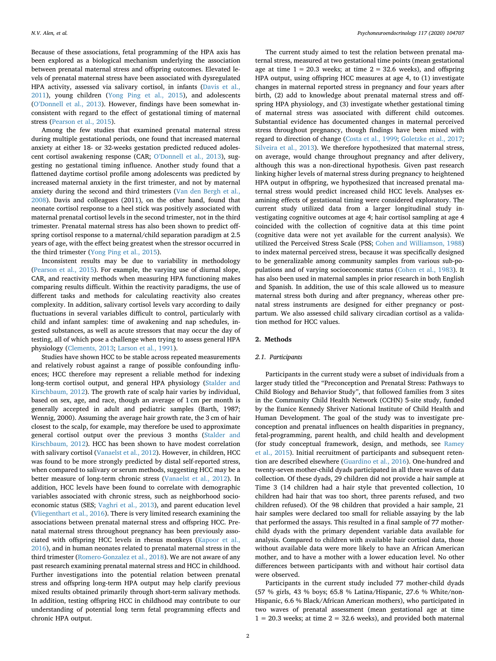Because of these associations, fetal programming of the HPA axis has been explored as a biological mechanism underlying the association between prenatal maternal stress and offspring outcomes. Elevated levels of prenatal maternal stress have been associated with dysregulated HPA activity, assessed via salivary cortisol, in infants ([Davis et al.,](#page-7-4) [2011\)](#page-7-4), young children [\(Yong Ping et al., 2015\)](#page-7-5), and adolescents ([O'Donnell et al., 2013\)](#page-7-6). However, findings have been somewhat inconsistent with regard to the effect of gestational timing of maternal stress ([Pearson et al., 2015\)](#page-7-3).

Among the few studies that examined prenatal maternal stress during multiple gestational periods, one found that increased maternal anxiety at either 18- or 32-weeks gestation predicted reduced adolescent cortisol awakening response (CAR; [O'Donnell et al., 2013\)](#page-7-6), suggesting no gestational timing influence. Another study found that a flattened daytime cortisol profile among adolescents was predicted by increased maternal anxiety in the first trimester, and not by maternal anxiety during the second and third trimesters ([Van den Bergh et al.,](#page-7-7) [2008\)](#page-7-7). Davis and colleagues (2011), on the other hand, found that neonate cortisol response to a heel stick was positively associated with maternal prenatal cortisol levels in the second trimester, not in the third trimester. Prenatal maternal stress has also been shown to predict offspring cortisol response to a maternal/child separation paradigm at 2.5 years of age, with the effect being greatest when the stressor occurred in the third trimester ([Yong Ping et al., 2015\)](#page-7-5).

Inconsistent results may be due to variability in methodology ([Pearson et al., 2015\)](#page-7-3). For example, the varying use of diurnal slope, CAR, and reactivity methods when measuring HPA functioning makes comparing results difficult. Within the reactivity paradigms, the use of different tasks and methods for calculating reactivity also creates complexity. In addition, salivary cortisol levels vary according to daily fluctuations in several variables difficult to control, particularly with child and infant samples: time of awakening and nap schedules, ingested substances, as well as acute stressors that may occur the day of testing, all of which pose a challenge when trying to assess general HPA physiology ([Clements, 2013;](#page-6-1) [Larson et al., 1991](#page-7-8)).

Studies have shown HCC to be stable across repeated measurements and relatively robust against a range of possible confounding influences; HCC therefore may represent a reliable method for indexing long-term cortisol output, and general HPA physiology ([Stalder and](#page-7-9) [Kirschbaum, 2012](#page-7-9)). The growth rate of scalp hair varies by individual, based on sex, age, and race, though an average of 1 cm per month is generally accepted in adult and pediatric samples (Barth, 1987; Wennig, 2000). Assuming the average hair growth rate, the 3 cm of hair closest to the scalp, for example, may therefore be used to approximate general cortisol output over the previous 3 months ([Stalder and](#page-7-9) [Kirschbaum, 2012\)](#page-7-9). HCC has been shown to have modest correlation with salivary cortisol [\(Vanaelst et al., 2012\)](#page-7-10). However, in children, HCC was found to be more strongly predicted by distal self-reported stress, when compared to salivary or serum methods, suggesting HCC may be a better measure of long-term chronic stress ([Vanaelst et al., 2012](#page-7-10)). In addition, HCC levels have been found to correlate with demographic variables associated with chronic stress, such as neighborhood socioeconomic status (SES; [Vaghri et al., 2013](#page-7-11)), and parent education level ([Vliegenthart et al., 2016\)](#page-7-12). There is very limited research examining the associations between prenatal maternal stress and offspring HCC. Prenatal maternal stress throughout pregnancy has been previously associated with offspring HCC levels in rhesus monkeys ([Kapoor et al.,](#page-7-13) [2016\)](#page-7-13), and in human neonates related to prenatal maternal stress in the third trimester ([Romero-Gonzalez et al., 2018\)](#page-7-14). We are not aware of any past research examining prenatal maternal stress and HCC in childhood. Further investigations into the potential relation between prenatal stress and offspring long-term HPA output may help clarify previous mixed results obtained primarily through short-term salivary methods. In addition, testing offspring HCC in childhood may contribute to our understanding of potential long term fetal programming effects and chronic HPA output.

The current study aimed to test the relation between prenatal maternal stress, measured at two gestational time points (mean gestational age at time  $1 = 20.3$  weeks; at time  $2 = 32.6$  weeks), and offspring HPA output, using offspring HCC measures at age 4, to (1) investigate changes in maternal reported stress in pregnancy and four years after birth, (2) add to knowledge about prenatal maternal stress and offspring HPA physiology, and (3) investigate whether gestational timing of maternal stress was associated with different child outcomes. Substantial evidence has documented changes in maternal perceived stress throughout pregnancy, though findings have been mixed with regard to direction of change [\(Costa et al., 1999](#page-6-2); [Goletzke et al., 2017](#page-7-15); [Silveira et al., 2013\)](#page-7-16). We therefore hypothesized that maternal stress, on average, would change throughout pregnancy and after delivery, although this was a non-directional hypothesis. Given past research linking higher levels of maternal stress during pregnancy to heightened HPA output in offspring, we hypothesized that increased prenatal maternal stress would predict increased child HCC levels. Analyses examining effects of gestational timing were considered exploratory. The current study utilized data from a larger longitudinal study investigating cognitive outcomes at age 4; hair cortisol sampling at age 4 coincided with the collection of cognitive data at this time point (cognitive data were not yet available for the current analysis). We utilized the Perceived Stress Scale (PSS; [Cohen and Williamson, 1988\)](#page-6-3) to index maternal perceived stress, because it was specifically designed to be generalizable among community samples from various sub-populations and of varying socioeconomic status ([Cohen et al., 1983](#page-6-4)). It has also been used in maternal samples in prior research in both English and Spanish. In addition, the use of this scale allowed us to measure maternal stress both during and after pregnancy, whereas other prenatal stress instruments are designed for either pregnancy or postpartum. We also assessed child salivary circadian cortisol as a validation method for HCC values.

## **2. Methods**

## *2.1. Participants*

Participants in the current study were a subset of individuals from a larger study titled the "Preconception and Prenatal Stress: Pathways to Child Biology and Behavior Study", that followed families from 3 sites in the Community Child Health Network (CCHN) 5-site study, funded by the Eunice Kennedy Shriver National Institute of Child Health and Human Development. The goal of the study was to investigate preconception and prenatal influences on health disparities in pregnancy, fetal-programming, parent health, and child health and development (for study conceptual framework, design, and methods, see [Ramey](#page-7-17) [et al., 2015\)](#page-7-17). Initial recruitment of participants and subsequent retention are described elsewhere ([Guardino et al., 2016](#page-7-18)). One-hundred and twenty-seven mother-child dyads participated in all three waves of data collection. Of these dyads, 29 children did not provide a hair sample at Time 3 (14 children had a hair style that prevented collection, 10 children had hair that was too short, three parents refused, and two children refused). Of the 98 children that provided a hair sample, 21 hair samples were declared too small for reliable assaying by the lab that performed the assays. This resulted in a final sample of 77 motherchild dyads with the primary dependent variable data available for analysis. Compared to children with available hair cortisol data, those without available data were more likely to have an African American mother, and to have a mother with a lower education level. No other differences between participants with and without hair cortisol data were observed.

Participants in the current study included 77 mother-child dyads (57 % girls, 43 % boys; 65.8 % Latina/Hispanic, 27.6 % White/non-Hispanic, 6.6 % Black/African American mothers), who participated in two waves of prenatal assessment (mean gestational age at time  $1 = 20.3$  weeks; at time  $2 = 32.6$  weeks), and provided both maternal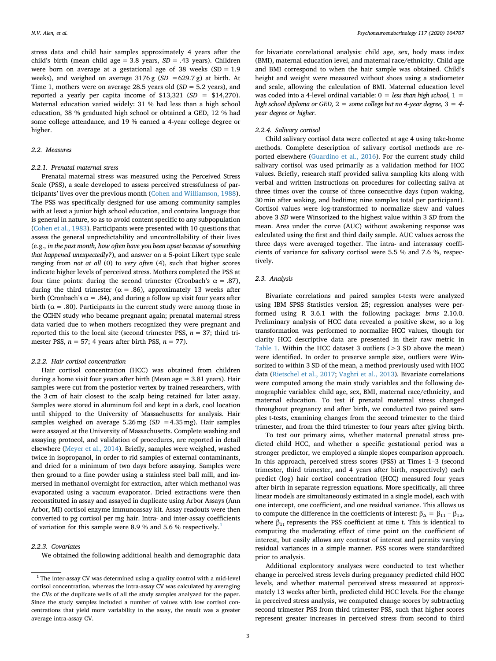stress data and child hair samples approximately 4 years after the child's birth (mean child age = 3.8 years, *SD* = .43 years). Children were born on average at a gestational age of 38 weeks  $(SD = 1.9$ weeks), and weighed on average  $3176 g$  ( $SD = 629.7 g$ ) at birth. At Time 1, mothers were on average 28.5 years old (*SD* = 5.2 years), and reported a yearly per capita income of \$13,321 (*SD* = \$14,270). Maternal education varied widely: 31 % had less than a high school education, 38 % graduated high school or obtained a GED, 12 % had some college attendance, and 19 % earned a 4-year college degree or higher.

## *2.2. Measures*

#### *2.2.1. Prenatal maternal stress*

Prenatal maternal stress was measured using the Perceived Stress Scale (PSS), a scale developed to assess perceived stressfulness of participants' lives over the previous month ([Cohen and Williamson, 1988](#page-6-3)). The PSS was specifically designed for use among community samples with at least a junior high school education, and contains language that is general in nature, so as to avoid content specific to any subpopulation ([Cohen et al., 1983](#page-6-4)). Participants were presented with 10 questions that assess the general unpredictability and uncontrollability of their lives (e.g., *in the past month, how often have you been upset because of something that happened unexpectedly?*), and answer on a 5-point Likert type scale ranging from *not at all* (0) to *very often* (4), such that higher scores indicate higher levels of perceived stress. Mothers completed the PSS at four time points: during the second trimester (Cronbach's  $\alpha = .87$ ), during the third trimester ( $\alpha$  = .86), approximately 13 weeks after birth (Cronbach's  $\alpha = .84$ ), and during a follow up visit four years after birth ( $\alpha = .80$ ). Participants in the current study were among those in the CCHN study who became pregnant again; prenatal maternal stress data varied due to when mothers recognized they were pregnant and reported this to the local site (second trimester PSS,  $n = 37$ ; third trimester PSS,  $n = 57$ ; 4 years after birth PSS,  $n = 77$ ).

## *2.2.2. Hair cortisol concentration*

Hair cortisol concentration (HCC) was obtained from children during a home visit four years after birth (Mean age = 3.81 years). Hair samples were cut from the posterior vertex by trained researchers, with the 3 cm of hair closest to the scalp being retained for later assay. Samples were stored in aluminum foil and kept in a dark, cool location until shipped to the University of Massachusetts for analysis. Hair samples weighed on average 5.26 mg (*SD* = 4.35 mg). Hair samples were assayed at the University of Massachusetts. Complete washing and assaying protocol, and validation of procedures, are reported in detail elsewhere [\(Meyer et al., 2014\)](#page-7-19). Briefly, samples were weighed, washed twice in isopropanol, in order to rid samples of external contaminants, and dried for a minimum of two days before assaying. Samples were then ground to a fine powder using a stainless steel ball mill, and immersed in methanol overnight for extraction, after which methanol was evaporated using a vacuum evaporator. Dried extractions were then reconstituted in assay and assayed in duplicate using Arbor Assays (Ann Arbor, MI) cortisol enzyme immunoassay kit. Assay readouts were then converted to pg cortisol per mg hair. Intra- and inter-assay coefficients of variation for this sample were 8.9 % and 5.6 % respectively.<sup>[1](#page-2-0)</sup>

## *2.2.3. Covariates*

We obtained the following additional health and demographic data

for bivariate correlational analysis: child age, sex, body mass index (BMI), maternal education level, and maternal race/ethnicity. Child age and BMI correspond to when the hair sample was obtained. Child's height and weight were measured without shoes using a stadiometer and scale, allowing the calculation of BMI. Maternal education level was coded into a 4-level ordinal variable: 0 = *less than high school,* 1 = *high school diploma or GED,* 2 = *some college but no 4-year degree,* 3 = *4 year degree or higher*.

## *2.2.4. Salivary cortisol*

Child salivary cortisol data were collected at age 4 using take-home methods. Complete description of salivary cortisol methods are reported elsewhere ([Guardino et al., 2016\)](#page-7-18). For the current study child salivary cortisol was used primarily as a validation method for HCC values. Briefly, research staff provided saliva sampling kits along with verbal and written instructions on procedures for collecting saliva at three times over the course of three consecutive days (upon waking, 30 min after waking, and bedtime; nine samples total per participant). Cortisol values were log-transformed to normalize skew and values above 3 *SD* were Winsorized to the highest value within 3 *SD* from the mean. Area under the curve (AUC) without awakening response was calculated using the first and third daily sample. AUC values across the three days were averaged together. The intra- and interassay coefficients of variance for salivary cortisol were 5.5 % and 7.6 %, respectively.

#### *2.3. Analysis*

Bivariate correlations and paired samples t-tests were analyzed using IBM SPSS Statistics version 25; regression analyses were performed using R 3.6.1 with the following package: *brms* 2.10.0. Preliminary analysis of HCC data revealed a positive skew, so a log transformation was performed to normalize HCC values, though for clarity HCC descriptive data are presented in their raw metric in [Table 1.](#page-3-0) Within the HCC dataset 3 outliers (>3 SD above the mean) were identified. In order to preserve sample size, outliers were Winsorized to within 3 SD of the mean, a method previously used with HCC data [\(Rietschel et al., 2017](#page-7-20); [Vaghri et al., 2013\)](#page-7-11). Bivariate correlations were computed among the main study variables and the following demographic variables: child age, sex, BMI, maternal race/ethnicity, and maternal education. To test if prenatal maternal stress changed throughout pregnancy and after birth, we conducted two paired samples t-tests, examining changes from the second trimester to the third trimester, and from the third trimester to four years after giving birth.

To test our primary aims, whether maternal prenatal stress predicted child HCC, and whether a specific gestational period was a stronger predictor, we employed a simple slopes comparison approach. In this approach, perceived stress scores (PSS) at Times 1–3 (second trimester, third trimester, and 4 years after birth, respectively) each predict (log) hair cortisol concentration (HCC) measured four years after birth in separate regression equations. More specifically, all three linear models are simultaneously estimated in a single model, each with one intercept, one coefficient, and one residual variance. This allows us to compute the difference in the coefficients of interest:  $β<sub>Δ</sub> = β<sub>11</sub> - β<sub>12</sub>$ , where  $\beta_{1t}$  represents the PSS coefficient at time t. This is identical to computing the moderating effect of time point on the coefficient of interest, but easily allows any contrast of interest and permits varying residual variances in a simple manner. PSS scores were standardized prior to analysis.

Additional exploratory analyses were conducted to test whether change in perceived stress levels during pregnancy predicted child HCC levels, and whether maternal perceived stress measured at approximately 13 weeks after birth, predicted child HCC levels. For the change in perceived stress analysis, we computed change scores by subtracting second trimester PSS from third trimester PSS, such that higher scores represent greater increases in perceived stress from second to third

<span id="page-2-0"></span> $^{\rm 1}$  The inter-assay CV was determined using a quality control with a mid-level cortisol concentration, whereas the intra-assay CV was calculated by averaging the CVs of the duplicate wells of all the study samples analyzed for the paper. Since the study samples included a number of values with low cortisol concentrations that yield more variability in the assay, the result was a greater average intra-assay CV.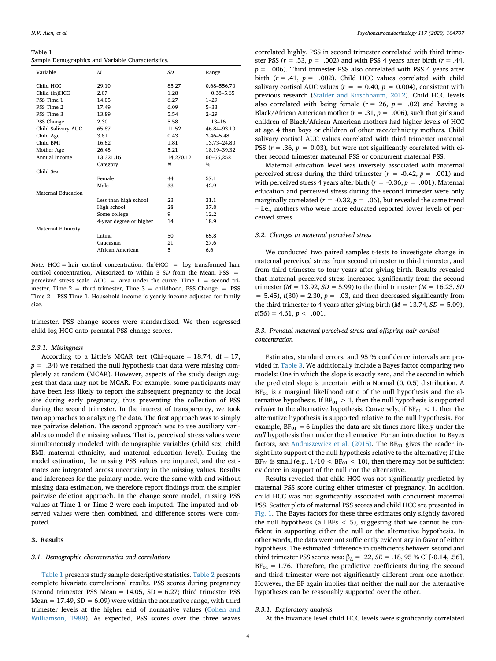#### <span id="page-3-0"></span>**Table 1**

Sample Demographics and Variable Characteristics.

| Variable           | M                       | SD        | Range          |
|--------------------|-------------------------|-----------|----------------|
| Child HCC          | 29.10                   | 85.27     | 0.68-556.70    |
| Child (ln)HCC      | 2.07                    | 1.28      | $-0.38 - 5.65$ |
| PSS Time 1         | 14.05                   | 6.27      | $1 - 29$       |
| PSS Time 2         | 17.49                   | 6.09      | $5 - 33$       |
| PSS Time 3         | 13.89                   | 5.54      | $2 - 29$       |
| PSS Change         | 2.30                    | 5.58      | $-13-16$       |
| Child Salivary AUC | 65.87                   | 11.52     | 46.84-93.10    |
| Child Age          | 3.81                    | 0.43      | $3.46 - 5.48$  |
| Child BMI          | 16.62                   | 1.81      | 13.73-24.80    |
| Mother Age         | 26.48                   | 5.21      | 18.19-39.32    |
| Annual Income      | 13,321.16               | 14,270.12 | 60-56,252      |
|                    | Category                | N         | $\%$           |
| Child Sex          |                         |           |                |
|                    | Female                  | 44        | 57.1           |
|                    | Male                    | 33        | 42.9           |
| Maternal Education |                         |           |                |
|                    | Less than high school   | 23        | 31.1           |
|                    | High school             | 28        | 37.8           |
|                    | Some college            | 9         | 12.2           |
|                    | 4-year degree or higher | 14        | 18.9           |
| Maternal Ethnicity |                         |           |                |
|                    | Latina                  | 50        | 65.8           |
|                    | Caucasian               | 21        | 27.6           |
|                    | African American        | 5         | 6.6            |

*Note.* HCC = hair cortisol concentration.  $(ln)$ HCC = log transformed hair cortisol concentration, Winsorized to within 3 *SD* from the Mean. PSS perceived stress scale. AUC = area under the curve. Time  $1 =$  second trimester, Time  $2 =$  third trimester, Time  $3 =$  childhood, PSS Change = PSS Time 2 – PSS Time 1. Household income is yearly income adjusted for family size.

trimester. PSS change scores were standardized. We then regressed child log HCC onto prenatal PSS change scores.

#### *2.3.1. Missingness*

According to a Little's MCAR test (Chi-square = 18.74, df = 17,  $p = .34$ ) we retained the null hypothesis that data were missing completely at random (MCAR). However, aspects of the study design suggest that data may not be MCAR. For example, some participants may have been less likely to report the subsequent pregnancy to the local site during early pregnancy, thus preventing the collection of PSS during the second trimester. In the interest of transparency, we took two approaches to analyzing the data. The first approach was to simply use pairwise deletion. The second approach was to use auxiliary variables to model the missing values. That is, perceived stress values were simultaneously modeled with demographic variables (child sex, child BMI, maternal ethnicity, and maternal education level). During the model estimation, the missing PSS values are imputed, and the estimates are integrated across uncertainty in the missing values. Results and inferences for the primary model were the same with and without missing data estimation, we therefore report findings from the simpler pairwise deletion approach. In the change score model, missing PSS values at Time 1 or Time 2 were each imputed. The imputed and observed values were then combined, and difference scores were computed.

## **3. Results**

## *3.1. Demographic characteristics and correlations*

[Table 1](#page-3-0) presents study sample descriptive statistics. [Table 2](#page-4-0) presents complete bivariate correlational results. PSS scores during pregnancy (second trimester PSS Mean  $= 14.05$ , SD  $= 6.27$ ; third trimester PSS Mean =  $17.49$ , SD =  $6.09$ ) were within the normative range, with third trimester levels at the higher end of normative values [\(Cohen and](#page-6-3) [Williamson, 1988](#page-6-3)). As expected, PSS scores over the three waves

correlated highly. PSS in second trimester correlated with third trimester PSS  $(r = .53, p = .002)$  and with PSS 4 years after birth  $(r = .44,$ *p* = .006). Third trimester PSS also correlated with PSS 4 years after birth  $(r = .41, p = .002)$ . Child HCC values correlated with child salivary cortisol AUC values ( $r = 0.40$ ,  $p = 0.004$ ), consistent with previous research [\(Stalder and Kirschbaum, 2012](#page-7-9)). Child HCC levels also correlated with being female  $(r = .26, p = .02)$  and having a Black/African American mother ( $r = .31$ ,  $p = .006$ ), such that girls and children of Black/African American mothers had higher levels of HCC at age 4 than boys or children of other race/ethnicity mothers. Child salivary cortisol AUC values correlated with third trimester maternal PSS  $(r = .36, p = 0.03)$ , but were not significantly correlated with either second trimester maternal PSS or concurrent maternal PSS.

Maternal education level was inversely associated with maternal perceived stress during the third trimester  $(r = -0.42, p = .001)$  and with perceived stress 4 years after birth  $(r = -0.36, p = .001)$ . Maternal education and perceived stress during the second trimester were only marginally correlated ( $r = -0.32$ ,  $p = .06$ ), but revealed the same trend – i.e., mothers who were more educated reported lower levels of perceived stress.

#### *3.2. Changes in maternal perceived stress*

We conducted two paired samples t-tests to investigate change in maternal perceived stress from second trimester to third trimester, and from third trimester to four years after giving birth. Results revealed that maternal perceived stress increased significantly from the second trimester ( $M = 13.92$ ,  $SD = 5.99$ ) to the third trimester ( $M = 16.23$ ,  $SD$  $= 5.45$ ,  $t(30) = 2.30$ ,  $p = .03$ , and then decreased significantly from the third trimester to 4 years after giving birth  $(M = 13.74, SD = 5.09)$ ,  $t(56) = 4.61, p < .001.$ 

## *3.3. Prenatal maternal perceived stress and offspring hair cortisol concentration*

Estimates, standard errors, and 95 % confidence intervals are provided in [Table 3](#page-4-1). We additionally include a Bayes factor comparing two models: One in which the slope is exactly zero, and the second in which the predicted slope is uncertain with a Normal (0, 0.5) distribution. A  $BF<sub>01</sub>$  is a marginal likelihood ratio of the null hypothesis and the alternative hypothesis. If  $BF_{01} > 1$ , then the null hypothesis is supported *relative* to the alternative hypothesis. Conversely, if  $BF_{01} < 1$ , then the alternative hypothesis is supported relative to the null hypothesis. For example,  $BF_{01} = 6$  implies the data are six times more likely under the *null* hypothesis than under the alternative. For an introduction to Bayes factors, see [Andraszewicz et al. \(2015\).](#page-6-5) The  $BF_{01}$  gives the reader insight into support of the null hypothesis relative to the alternative; if the  $BF_{01}$  is small (e.g.,  $1/10 < BF_{01} < 10$ ), then there may not be sufficient evidence in support of the null nor the alternative.

Results revealed that child HCC was not significantly predicted by maternal PSS score during either trimester of pregnancy. In addition, child HCC was not significantly associated with concurrent maternal PSS. Scatter plots of maternal PSS scores and child HCC are presented in [Fig. 1.](#page-4-2) The Bayes factors for these three estimates only slightly favored the null hypothesis (all BFs  $<$  5), suggesting that we cannot be confident in supporting either the null or the alternative hypothesis. In other words, the data were not sufficiently evidentiary in favor of either hypothesis. The estimated difference in coefficients between second and third trimester PSS scores was:  $β<sub>Λ</sub> = .22, SE = .18, 95 % CI [-0.14, .56],$  $BF_{01} = 1.76$ . Therefore, the predictive coefficients during the second and third trimester were not significantly different from one another. However, the BF again implies that neither the null nor the alternative hypotheses can be reasonably supported over the other.

#### *3.3.1. Exploratory analysis*

At the bivariate level child HCC levels were significantly correlated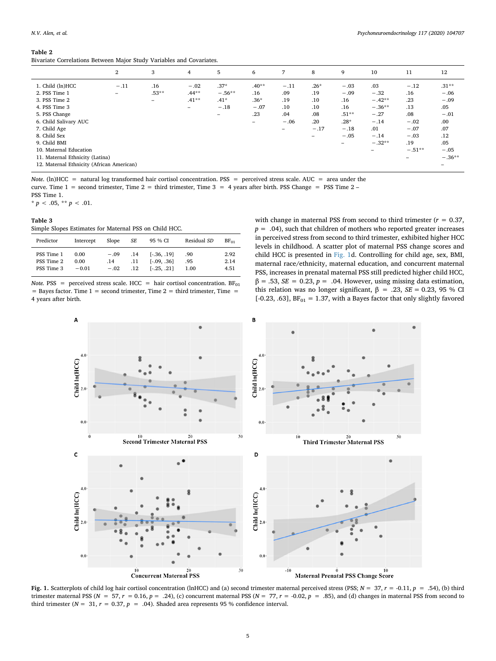#### <span id="page-4-0"></span>**Table 2**

Bivariate Correlations Between Major Study Variables and Covariates.

|                                           | 2                        | 3       | $\overline{4}$           | 5                        | 6                        | 7                        | 8                        | 9        | 10       | 11       | 12       |
|-------------------------------------------|--------------------------|---------|--------------------------|--------------------------|--------------------------|--------------------------|--------------------------|----------|----------|----------|----------|
| 1. Child (ln)HCC                          | $-.11$                   | .16     | $-.02$                   | $.37*$                   | $.40**$                  | $-.11$                   | $.26*$                   | $-.03$   | .03      | $-.12$   | $.31**$  |
| 2. PSS Time 1                             | $\overline{\phantom{a}}$ | $.53**$ | $.44**$                  | $-.56**$                 | .16                      | .09                      | .19                      | $-.09$   | $-.32$   | .16      | $-.06$   |
| 3. PSS Time 2                             |                          | -       | $.41***$                 | $.41*$                   | $.36*$                   | .19                      | .10                      | .16      | $-.42**$ | .23      | $-.09$   |
| 4. PSS Time 3                             |                          |         | $\overline{\phantom{m}}$ | $-.18$                   | $-.07$                   | .10                      | .10                      | .16      | $-.36**$ | .13      | .05      |
| 5. PSS Change                             |                          |         |                          | $\overline{\phantom{0}}$ | .23                      | .04                      | .08                      | $.51***$ | $-.27$   | .08      | $-.01$   |
| 6. Child Salivary AUC                     |                          |         |                          |                          | $\overline{\phantom{0}}$ | $-.06$                   | .20                      | $.28*$   | $-.14$   | $-.02$   | .00      |
| 7. Child Age                              |                          |         |                          |                          |                          | $\overline{\phantom{0}}$ | $-.17$                   | $-.18$   | .01      | $-.07$   | .07      |
| 8. Child Sex                              |                          |         |                          |                          |                          |                          | $\overline{\phantom{0}}$ | $-.05$   | $-.14$   | $-.03$   | .12      |
| 9. Child BMI                              |                          |         |                          |                          |                          |                          |                          | -        | $-.32**$ | .19      | .05      |
| 10. Maternal Education                    |                          |         |                          |                          |                          |                          |                          |          | -        | $-.51**$ | $-.05$   |
| 11. Maternal Ethnicity (Latina)           |                          |         |                          |                          |                          |                          |                          |          |          | -        | $-.36**$ |
| 12. Maternal Ethnicity (African American) |                          |         |                          |                          |                          |                          |                          |          |          |          | -        |

*Note*. (ln)HCC = natural log transformed hair cortisol concentration. PSS = perceived stress scale. AUC = area under the curve. Time  $1 =$  second trimester, Time  $2 =$  third trimester, Time  $3 = 4$  years after birth. PSS Change = PSS Time  $2 -$ 

PSS Time 1.

\*  $p < .05$ , \*\*  $p < .01$ .

## <span id="page-4-1"></span>**Table 3**

Simple Slopes Estimates for Maternal PSS on Child HCC.

| Predictor  | Intercept | Slope  | SЕ  | 95 % CI         | Residual SD | $BF_{01}$ |
|------------|-----------|--------|-----|-----------------|-------------|-----------|
| PSS Time 1 | 0.00      | $-.09$ | .14 | $[-.36, .19]$   | .90         | 2.92      |
| PSS Time 2 | 0.00      | .14    | .11 | $[-0.09, 0.36]$ | .95         | 2.14      |
| PSS Time 3 | $-0.01$   | $-.02$ | .12 | $[-.25, .21]$   | 1.00        | 4.51      |

*Note.* PSS = perceived stress scale. HCC = hair cortisol concentration.  $BF_{01}$  $=$  Bayes factor. Time 1 = second trimester, Time 2 = third trimester, Time = 4 years after birth.

with change in maternal PSS from second to third trimester  $(r = 0.37)$ ,  $p = .04$ ), such that children of mothers who reported greater increases in perceived stress from second to third trimester, exhibited higher HCC levels in childhood. A scatter plot of maternal PSS change scores and child HCC is presented in [Fig. 1d](#page-4-2). Controlling for child age, sex, BMI, maternal race/ethnicity, maternal education, and concurrent maternal PSS, increases in prenatal maternal PSS still predicted higher child HCC,  $β = .53, SE = 0.23, p = .04$ . However, using missing data estimation, this relation was no longer significant,  $β = .23$ ,  $SE = 0.23$ ,  $95 %$  CI [-0.23, .63],  $BF_{01} = 1.37$ , with a Bayes factor that only slightly favored

<span id="page-4-2"></span>

**Fig. 1.** Scatterplots of child log hair cortisol concentration (lnHCC) and (a) second trimester maternal perceived stress (PSS; *N* = 37, *r* = -0.11, *p* = .54), (b) third trimester maternal PSS ( $N = 57$ ,  $r = 0.16$ ,  $p = .24$ ), (c) concurrent maternal PSS ( $N = 77$ ,  $r = -0.02$ ,  $p = .85$ ), and (d) changes in maternal PSS from second to third trimester ( $N = 31$ ,  $r = 0.37$ ,  $p = .04$ ). Shaded area represents 95 % confidence interval.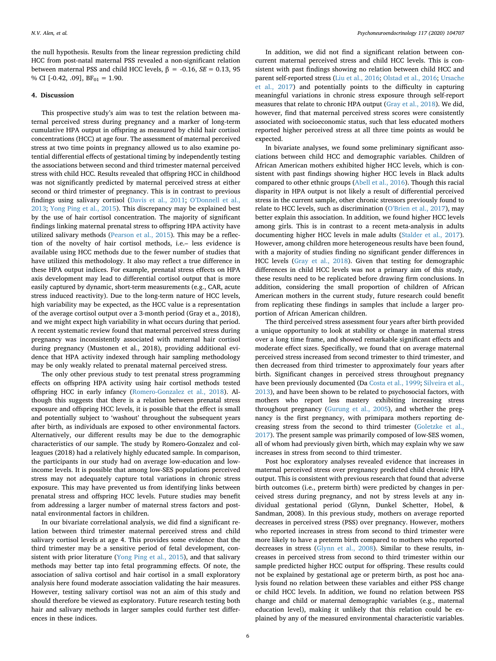the null hypothesis. Results from the linear regression predicting child HCC from post-natal maternal PSS revealed a non-significant relation between maternal PSS and child HCC levels,  $β = -0.16$ ,  $SE = 0.13$ , 95 % CI [-0.42, .09],  $BF_{01} = 1.90$ .

#### **4. Discussion**

This prospective study's aim was to test the relation between maternal perceived stress during pregnancy and a marker of long-term cumulative HPA output in offspring as measured by child hair cortisol concentrations (HCC) at age four. The assessment of maternal perceived stress at two time points in pregnancy allowed us to also examine potential differential effects of gestational timing by independently testing the associations between second and third trimester maternal perceived stress with child HCC. Results revealed that offspring HCC in childhood was not significantly predicted by maternal perceived stress at either second or third trimester of pregnancy. This is in contrast to previous findings using salivary cortisol [\(Davis et al., 2011](#page-7-4); [O'Donnell et al.,](#page-7-6) [2013;](#page-7-6) [Yong Ping et al., 2015\)](#page-7-5). This discrepancy may be explained best by the use of hair cortisol concentration. The majority of significant findings linking maternal prenatal stress to offspring HPA activity have utilized salivary methods [\(Pearson et al., 2015\)](#page-7-3). This may be a reflection of the novelty of hair cortisol methods, i.e.– less evidence is available using HCC methods due to the fewer number of studies that have utilized this methodology. It also may reflect a true difference in these HPA output indices. For example, prenatal stress effects on HPA axis development may lead to differential cortisol output that is more easily captured by dynamic, short-term measurements (e.g., CAR, acute stress induced reactivity). Due to the long-term nature of HCC levels, high variability may be expected, as the HCC value is a representation of the average cortisol output over a 3-month period (Gray et a., 2018), and we might expect high variability in what occurs during that period. A recent systematic review found that maternal perceived stress during pregnancy was inconsistently associated with maternal hair cortisol during pregnancy (Mustonen et al., 2018), providing additional evidence that HPA activity indexed through hair sampling methodology may be only weakly related to prenatal maternal perceived stress.

The only other previous study to test prenatal stress programming effects on offspring HPA activity using hair cortisol methods tested offspring HCC in early infancy [\(Romero-Gonzalez et al., 2018](#page-7-14)). Although this suggests that there is a relation between prenatal stress exposure and offspring HCC levels, it is possible that the effect is small and potentially subject to 'washout' throughout the subsequent years after birth, as individuals are exposed to other environmental factors. Alternatively, our different results may be due to the demographic characteristics of our sample. The study by Romero-Gonzalez and colleagues (2018) had a relatively highly educated sample. In comparison, the participants in our study had on average low-education and lowincome levels. It is possible that among low-SES populations perceived stress may not adequately capture total variations in chronic stress exposure. This may have prevented us from identifying links between prenatal stress and offspring HCC levels. Future studies may benefit from addressing a larger number of maternal stress factors and postnatal environmental factors in children.

In our bivariate correlational analysis, we did find a significant relation between third trimester maternal perceived stress and child salivary cortisol levels at age 4. This provides some evidence that the third trimester may be a sensitive period of fetal development, consistent with prior literature [\(Yong Ping et al., 2015](#page-7-5)), and that salivary methods may better tap into fetal programming effects. Of note, the association of saliva cortisol and hair cortisol in a small exploratory analysis here found moderate association validating the hair measures. However, testing salivary cortisol was not an aim of this study and should therefore be viewed as exploratory. Future research testing both hair and salivary methods in larger samples could further test differences in these indices.

In addition, we did not find a significant relation between concurrent maternal perceived stress and child HCC levels. This is consistent with past findings showing no relation between child HCC and parent self-reported stress ([Liu et al., 2016](#page-7-21); [Olstad et al., 2016](#page-7-22); [Ursache](#page-7-23) [et al., 2017\)](#page-7-23) and potentially points to the difficulty in capturing meaningful variations in chronic stress exposure through self-report measures that relate to chronic HPA output [\(Gray et al., 2018](#page-7-24)). We did, however, find that maternal perceived stress scores were consistently associated with socioeconomic status, such that less educated mothers reported higher perceived stress at all three time points as would be expected.

In bivariate analyses, we found some preliminary significant associations between child HCC and demographic variables. Children of African American mothers exhibited higher HCC levels, which is consistent with past findings showing higher HCC levels in Black adults compared to other ethnic groups [\(Abell et al., 2016\)](#page-6-6). Though this racial disparity in HPA output is not likely a result of differential perceived stress in the current sample, other chronic stressors previously found to relate to HCC levels, such as discrimination ([O'Brien et al., 2017\)](#page-7-25), may better explain this association. In addition, we found higher HCC levels among girls. This is in contrast to a recent meta-analysis in adults documenting higher HCC levels in male adults [\(Stalder et al., 2017](#page-7-26)). However, among children more heterogeneous results have been found, with a majority of studies finding no significant gender differences in HCC levels [\(Gray et al., 2018\)](#page-7-24). Given that testing for demographic differences in child HCC levels was not a primary aim of this study, these results need to be replicated before drawing firm conclusions. In addition, considering the small proportion of children of African American mothers in the current study, future research could benefit from replicating these findings in samples that include a larger proportion of African American children.

The third perceived stress assessment four years after birth provided a unique opportunity to look at stability or change in maternal stress over a long time frame, and showed remarkable significant effects and moderate effect sizes. Specifically, we found that on average maternal perceived stress increased from second trimester to third trimester, and then decreased from third trimester to approximately four years after birth. Significant changes in perceived stress throughout pregnancy have been previously documented (Da [Costa et al., 1999;](#page-6-2) [Silveira et al.,](#page-7-16) [2013\)](#page-7-16), and have been shown to be related to psychosocial factors, with mothers who report less mastery exhibiting increasing stress throughout pregnancy [\(Gurung et al., 2005](#page-7-27)), and whether the pregnancy is the first pregnancy, with primipara mothers reporting decreasing stress from the second to third trimester ([Goletzke et al.,](#page-7-15) [2017\)](#page-7-15). The present sample was primarily composed of low-SES women, all of whom had previously given birth, which may explain why we saw increases in stress from second to third trimester.

Post hoc exploratory analyses revealed evidence that increases in maternal perceived stress over pregnancy predicted child chronic HPA output. This is consistent with previous research that found that adverse birth outcomes (i.e., preterm birth) were predicted by changes in perceived stress during pregnancy, and not by stress levels at any individual gestational period (Glynn, Dunkel Schetter, Hobel, & Sandman, 2008). In this previous study, mothers on average reported decreases in perceived stress (PSS) over pregnancy. However, mothers who reported increases in stress from second to third trimester were more likely to have a preterm birth compared to mothers who reported decreases in stress [\(Glynn et al., 2008](#page-7-28)). Similar to these results, increases in perceived stress from second to third trimester within our sample predicted higher HCC output for offspring. These results could not be explained by gestational age or preterm birth, as post hoc analysis found no relation between these variables and either PSS change or child HCC levels. In addition, we found no relation between PSS change and child or maternal demographic variables (e.g., maternal education level), making it unlikely that this relation could be explained by any of the measured environmental characteristic variables.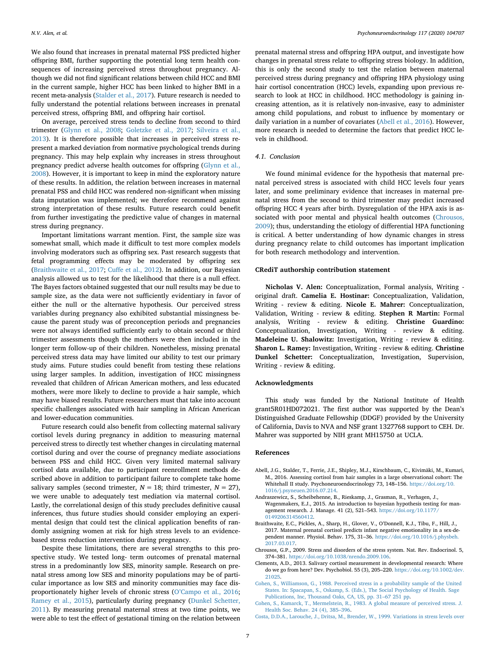We also found that increases in prenatal maternal PSS predicted higher offspring BMI, further supporting the potential long term health consequences of increasing perceived stress throughout pregnancy. Although we did not find significant relations between child HCC and BMI in the current sample, higher HCC has been linked to higher BMI in a recent meta-analysis ([Stalder et al., 2017\)](#page-7-26). Future research is needed to fully understand the potential relations between increases in prenatal perceived stress, offspring BMI, and offspring hair cortisol.

On average, perceived stress tends to decline from second to third trimester ([Glynn et al., 2008](#page-7-28); [Goletzke et al., 2017](#page-7-15); [Silveira et al.,](#page-7-16) [2013\)](#page-7-16). It is therefore possible that increases in perceived stress represent a marked deviation from normative psychological trends during pregnancy. This may help explain why increases in stress throughout pregnancy predict adverse health outcomes for offspring ([Glynn et al.,](#page-7-28) [2008\)](#page-7-28). However, it is important to keep in mind the exploratory nature of these results. In addition, the relation between increases in maternal prenatal PSS and child HCC was rendered non-significant when missing data imputation was implemented; we therefore recommend against strong interpretation of these results. Future research could benefit from further investigating the predictive value of changes in maternal stress during pregnancy.

Important limitations warrant mention. First, the sample size was somewhat small, which made it difficult to test more complex models involving moderators such as offspring sex. Past research suggests that fetal programming effects may be moderated by offspring sex ([Braithwaite et al., 2017;](#page-6-7) [Cuffe et al., 2012](#page-7-29)). In addition, our Bayesian analysis allowed us to test for the likelihood that there is a null effect. The Bayes factors obtained suggested that our null results may be due to sample size, as the data were not sufficiently evidentiary in favor of either the null or the alternative hypothesis. Our perceived stress variables during pregnancy also exhibited substantial missingness because the parent study was of preconception periods and pregnancies were not always identified sufficiently early to obtain second or third trimester assessments though the mothers were then included in the longer term follow-up of their children. Nonetheless, missing prenatal perceived stress data may have limited our ability to test our primary study aims. Future studies could benefit from testing these relations using larger samples. In addition, investigation of HCC missingness revealed that children of African American mothers, and less educated mothers, were more likely to decline to provide a hair sample, which may have biased results. Future researchers must that take into account specific challenges associated with hair sampling in African American and lower-education communities.

Future research could also benefit from collecting maternal salivary cortisol levels during pregnancy in addition to measuring maternal perceived stress to directly test whether changes in circulating maternal cortisol during and over the course of pregnancy mediate associations between PSS and child HCC. Given very limited maternal salivary cortisol data available, due to participant reenrollment methods described above in addition to participant failure to complete take home salivary samples (second trimester,  $N = 18$ ; third trimester,  $N = 27$ ), we were unable to adequately test mediation via maternal cortisol. Lastly, the correlational design of this study precludes definitive causal inferences, thus future studies should consider employing an experimental design that could test the clinical application benefits of randomly assigning women at risk for high stress levels to an evidencebased stress reduction intervention during pregnancy.

Despite these limitations, there are several strengths to this prospective study. We tested long- term outcomes of prenatal maternal stress in a predominantly low SES, minority sample. Research on prenatal stress among low SES and minority populations may be of particular importance as low SES and minority communities may face disproportionately higher levels of chronic stress [\(O'Campo et al., 2016](#page-7-30); [Ramey et al., 2015\)](#page-7-17), particularly during pregnancy [\(Dunkel Schetter,](#page-7-31) [2011\)](#page-7-31). By measuring prenatal maternal stress at two time points, we were able to test the effect of gestational timing on the relation between

prenatal maternal stress and offspring HPA output, and investigate how changes in prenatal stress relate to offspring stress biology. In addition, this is only the second study to test the relation between maternal perceived stress during pregnancy and offspring HPA physiology using hair cortisol concentration (HCC) levels, expanding upon previous research to look at HCC in childhood. HCC methodology is gaining increasing attention, as it is relatively non-invasive, easy to administer among child populations, and robust to influence by momentary or daily variation in a number of covariates ([Abell et al., 2016](#page-6-6)). However, more research is needed to determine the factors that predict HCC levels in childhood.

## *4.1. Conclusion*

We found minimal evidence for the hypothesis that maternal prenatal perceived stress is associated with child HCC levels four years later, and some preliminary evidence that increases in maternal prenatal stress from the second to third trimester may predict increased offspring HCC 4 years after birth. Dysregulation of the HPA axis is as-sociated with poor mental and physical health outcomes [\(Chrousos,](#page-6-0) [2009\)](#page-6-0); thus, understanding the etiology of differential HPA functioning is critical. A better understanding of how dynamic changes in stress during pregnancy relate to child outcomes has important implication for both research methodology and intervention.

#### **CRediT authorship contribution statement**

**Nicholas V. Alen:** Conceptualization, Formal analysis, Writing original draft. **Camelia E. Hostinar:** Conceptualization, Validation, Writing - review & editing. **Nicole E. Mahrer:** Conceptualization, Validation, Writing - review & editing. **Stephen R Martin:** Formal analysis, Writing - review & editing. **Christine Guardino:** Conceptualization, Investigation, Writing - review & editing. **Madeleine U. Shalowitz:** Investigation, Writing - review & editing. **Sharon L. Ramey:** Investigation, Writing - review & editing. **Christine Dunkel Schetter:** Conceptualization, Investigation, Supervision, Writing - review & editing.

## **Acknowledgments**

This study was funded by the National Institute of Health grant5R01HD072021. The first author was supported by the Dean's Distinguished Graduate Fellowship (DDGF) provided by the University of California, Davis to NVA and NSF grant 1327768 support to CEH. Dr. Mahrer was supported by NIH grant MH15750 at UCLA.

#### **References**

- <span id="page-6-6"></span>Abell, J.G., Stalder, T., Ferrie, J.E., Shipley, M.J., Kirschbaum, C., Kivimäki, M., Kumari, M., 2016. Assessing cortisol from hair samples in a large observational cohort: The Whitehall II study. Psychoneuroendocrinology 73, 148–156. [https://doi.org/10.](https://doi.org/10.1016/j.psyneuen.2016.07.214) [1016/j.psyneuen.2016.07.214.](https://doi.org/10.1016/j.psyneuen.2016.07.214)
- <span id="page-6-5"></span>Andraszewicz, S., Scheibehenne, B., Rieskamp, J., Grasman, R., Verhagen, J., Wagenmakers, E.J., 2015. An introduction to bayesian hypothesis testing for management research. J. Manage. 41 (2), 521–543. [https://doi.org/10.1177/](https://doi.org/10.1177/0149206314560412) [0149206314560412.](https://doi.org/10.1177/0149206314560412)
- <span id="page-6-7"></span>Braithwaite, E.C., Pickles, A., Sharp, H., Glover, V., O'Donnell, K.J., Tibu, F., Hill, J., 2017. Maternal prenatal cortisol predicts infant negative emotionality in a sex-dependent manner. Physiol. Behav. 175, 31–36. [https://doi.org/10.1016/j.physbeh.](https://doi.org/10.1016/j.physbeh.2017.03.017) [2017.03.017](https://doi.org/10.1016/j.physbeh.2017.03.017).
- <span id="page-6-0"></span>Chrousos, G.P., 2009. Stress and disorders of the stress system. Nat. Rev. Endocrinol. 5, 374–381. [https://doi.org/10.1038/nrendo.2009.106.](https://doi.org/10.1038/nrendo.2009.106)
- <span id="page-6-1"></span>Clements, A.D., 2013. Salivary cortisol measurement in developmental research: Where do we go from here? Dev. Psychobiol. 55 (3), 205–220. [https://doi.org/10.1002/dev.](https://doi.org/10.1002/dev.21025) [21025.](https://doi.org/10.1002/dev.21025)
- <span id="page-6-3"></span>[Cohen, S., Williamson, G., 1988. Perceived stress in a probability sample of the United](http://refhub.elsevier.com/S0306-4530(20)30126-8/sbref0030) [States. In: Spacapan, S., Oskamp, S. \(Eds.\), The Social Psychology of Health. Sage](http://refhub.elsevier.com/S0306-4530(20)30126-8/sbref0030) [Publications, Inc, Thousand Oaks, CA, US, pp. 31–67 251 pp.](http://refhub.elsevier.com/S0306-4530(20)30126-8/sbref0030)
- <span id="page-6-4"></span>[Cohen, S., Kamarck, T., Mermelstein, R., 1983. A global measure of perceived stress. J.](http://refhub.elsevier.com/S0306-4530(20)30126-8/sbref0035) [Health Soc. Behav. 24 \(4\), 385–396.](http://refhub.elsevier.com/S0306-4530(20)30126-8/sbref0035)
- <span id="page-6-2"></span>[Costa, D.D.A., Larouche, J., Dritsa, M., Brender, W., 1999. Variations in stress levels over](http://refhub.elsevier.com/S0306-4530(20)30126-8/sbref0040)